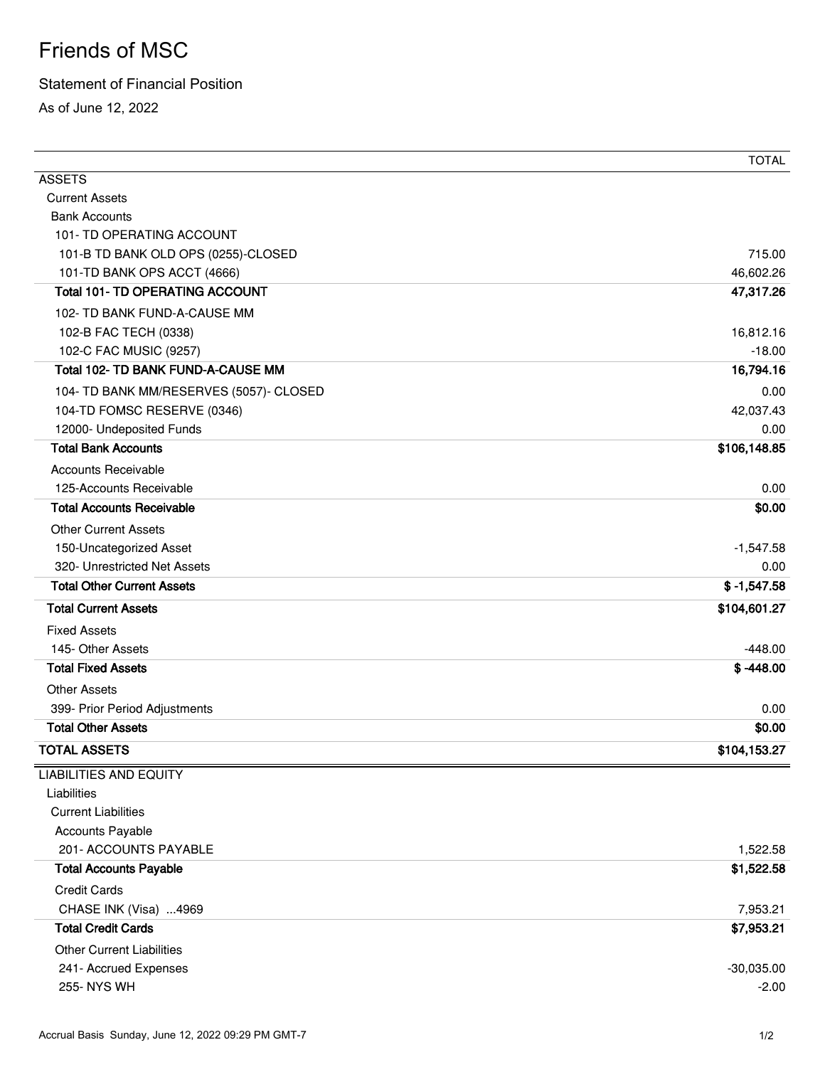## Friends of MSC

## Statement of Financial Position

As of June 12, 2022

|                                         | <b>TOTAL</b>  |
|-----------------------------------------|---------------|
| <b>ASSETS</b>                           |               |
| <b>Current Assets</b>                   |               |
| <b>Bank Accounts</b>                    |               |
| 101- TD OPERATING ACCOUNT               |               |
| 101-B TD BANK OLD OPS (0255)-CLOSED     | 715.00        |
| 101-TD BANK OPS ACCT (4666)             | 46,602.26     |
| <b>Total 101- TD OPERATING ACCOUNT</b>  | 47,317.26     |
| 102- TD BANK FUND-A-CAUSE MM            |               |
| 102-B FAC TECH (0338)                   | 16,812.16     |
| 102-C FAC MUSIC (9257)                  | $-18.00$      |
| Total 102- TD BANK FUND-A-CAUSE MM      | 16,794.16     |
| 104- TD BANK MM/RESERVES (5057)- CLOSED | 0.00          |
| 104-TD FOMSC RESERVE (0346)             | 42,037.43     |
| 12000- Undeposited Funds                | 0.00          |
| <b>Total Bank Accounts</b>              | \$106,148.85  |
| <b>Accounts Receivable</b>              |               |
| 125-Accounts Receivable                 | 0.00          |
| <b>Total Accounts Receivable</b>        | \$0.00        |
| <b>Other Current Assets</b>             |               |
| 150-Uncategorized Asset                 | $-1,547.58$   |
| 320- Unrestricted Net Assets            | 0.00          |
| <b>Total Other Current Assets</b>       | $$ -1,547.58$ |
| <b>Total Current Assets</b>             | \$104,601.27  |
| <b>Fixed Assets</b>                     |               |
| 145- Other Assets                       | $-448.00$     |
| <b>Total Fixed Assets</b>               | $$ -448.00$   |
| <b>Other Assets</b>                     |               |
| 399- Prior Period Adjustments           | 0.00          |
| <b>Total Other Assets</b>               | \$0.00        |
| <b>TOTAL ASSETS</b>                     | \$104,153.27  |
| <b>LIABILITIES AND EQUITY</b>           |               |
| Liabilities                             |               |
| <b>Current Liabilities</b>              |               |
| <b>Accounts Payable</b>                 |               |
| 201- ACCOUNTS PAYABLE                   | 1,522.58      |
| <b>Total Accounts Payable</b>           | \$1,522.58    |
| <b>Credit Cards</b>                     |               |
| CHASE INK (Visa) 4969                   | 7,953.21      |
| <b>Total Credit Cards</b>               | \$7,953.21    |
| <b>Other Current Liabilities</b>        |               |
| 241- Accrued Expenses                   | $-30,035.00$  |
| 255- NYS WH                             | $-2.00$       |
|                                         |               |